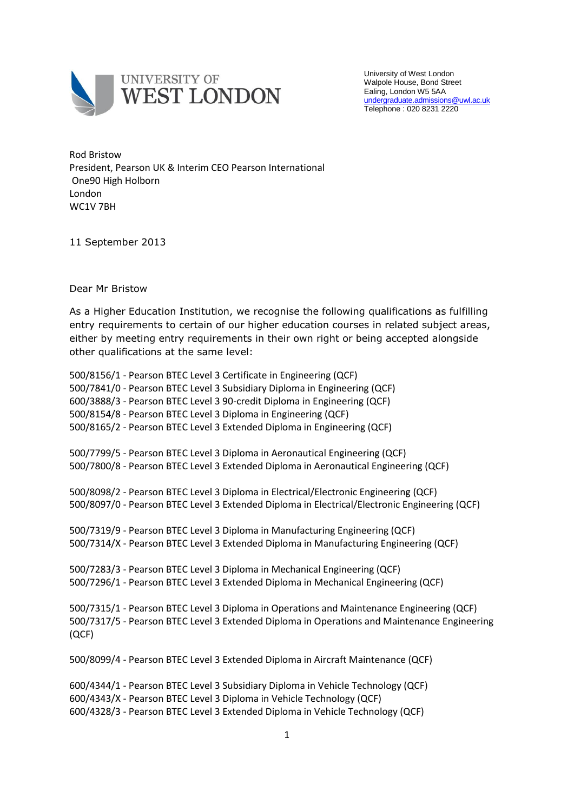

University of West London Walpole House, Bond Street Ealing, London W5 5AA [undergraduate.admissions@uwl.ac.uk](mailto:undergraduate.admissions@uwl.ac.uk) Telephone : 020 8231 2220

Rod Bristow President, Pearson UK & Interim CEO Pearson International One90 High Holborn London WC1V 7BH

11 September 2013

Dear Mr Bristow

As a Higher Education Institution, we recognise the following qualifications as fulfilling entry requirements to certain of our higher education courses in related subject areas, either by meeting entry requirements in their own right or being accepted alongside other qualifications at the same level:

500/8156/1 - Pearson BTEC Level 3 Certificate in Engineering (QCF) 500/7841/0 - Pearson BTEC Level 3 Subsidiary Diploma in Engineering (QCF) 600/3888/3 - Pearson BTEC Level 3 90-credit Diploma in Engineering (QCF) 500/8154/8 - Pearson BTEC Level 3 Diploma in Engineering (QCF) 500/8165/2 - Pearson BTEC Level 3 Extended Diploma in Engineering (QCF) 500/7799/5 - Pearson BTEC Level 3 Diploma in Aeronautical Engineering (QCF) 500/7800/8 - Pearson BTEC Level 3 Extended Diploma in Aeronautical Engineering (QCF) 500/8098/2 - Pearson BTEC Level 3 Diploma in Electrical/Electronic Engineering (QCF) 500/8097/0 - Pearson BTEC Level 3 Extended Diploma in Electrical/Electronic Engineering (QCF) 500/7319/9 - Pearson BTEC Level 3 Diploma in Manufacturing Engineering (QCF) 500/7314/X - Pearson BTEC Level 3 Extended Diploma in Manufacturing Engineering (QCF) 500/7283/3 - Pearson BTEC Level 3 Diploma in Mechanical Engineering (QCF) 500/7296/1 - Pearson BTEC Level 3 Extended Diploma in Mechanical Engineering (QCF) 500/7315/1 - Pearson BTEC Level 3 Diploma in Operations and Maintenance Engineering (QCF) 500/7317/5 - Pearson BTEC Level 3 Extended Diploma in Operations and Maintenance Engineering (QCF) 500/8099/4 - Pearson BTEC Level 3 Extended Diploma in Aircraft Maintenance (QCF) 600/4344/1 - Pearson BTEC Level 3 Subsidiary Diploma in Vehicle Technology (QCF) 600/4343/X - Pearson BTEC Level 3 Diploma in Vehicle Technology (QCF) 600/4328/3 - Pearson BTEC Level 3 Extended Diploma in Vehicle Technology (QCF)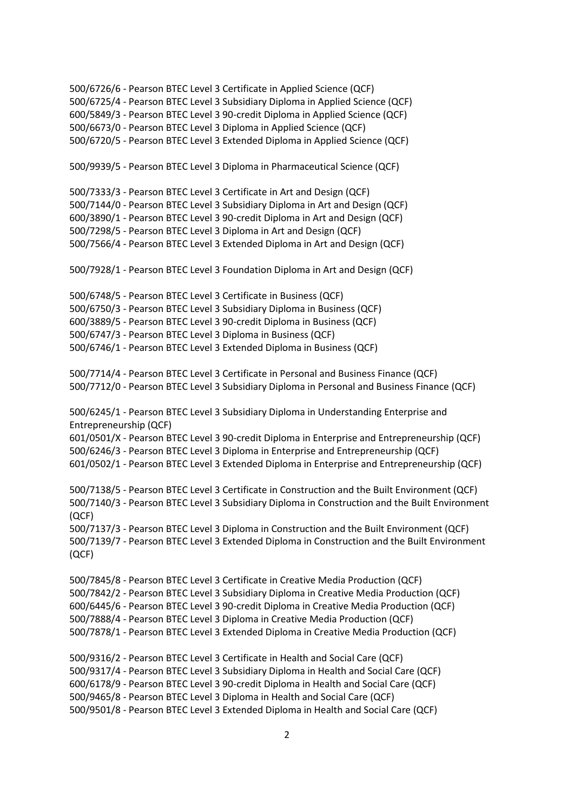500/6726/6 - Pearson BTEC Level 3 Certificate in Applied Science (QCF) 500/6725/4 - Pearson BTEC Level 3 Subsidiary Diploma in Applied Science (QCF) 600/5849/3 - Pearson BTEC Level 3 90-credit Diploma in Applied Science (QCF) 500/6673/0 - Pearson BTEC Level 3 Diploma in Applied Science (QCF) 500/6720/5 - Pearson BTEC Level 3 Extended Diploma in Applied Science (QCF) 500/9939/5 - Pearson BTEC Level 3 Diploma in Pharmaceutical Science (QCF) 500/7333/3 - Pearson BTEC Level 3 Certificate in Art and Design (QCF) 500/7144/0 - Pearson BTEC Level 3 Subsidiary Diploma in Art and Design (QCF) 600/3890/1 - Pearson BTEC Level 3 90-credit Diploma in Art and Design (QCF) 500/7298/5 - Pearson BTEC Level 3 Diploma in Art and Design (QCF) 500/7566/4 - Pearson BTEC Level 3 Extended Diploma in Art and Design (QCF) 500/7928/1 - Pearson BTEC Level 3 Foundation Diploma in Art and Design (QCF) 500/6748/5 - Pearson BTEC Level 3 Certificate in Business (QCF) 500/6750/3 - Pearson BTEC Level 3 Subsidiary Diploma in Business (QCF) 600/3889/5 - Pearson BTEC Level 3 90-credit Diploma in Business (QCF) 500/6747/3 - Pearson BTEC Level 3 Diploma in Business (QCF) 500/6746/1 - Pearson BTEC Level 3 Extended Diploma in Business (QCF) 500/7714/4 - Pearson BTEC Level 3 Certificate in Personal and Business Finance (QCF) 500/7712/0 - Pearson BTEC Level 3 Subsidiary Diploma in Personal and Business Finance (QCF) 500/6245/1 - Pearson BTEC Level 3 Subsidiary Diploma in Understanding Enterprise and Entrepreneurship (QCF) 601/0501/X - Pearson BTEC Level 3 90-credit Diploma in Enterprise and Entrepreneurship (QCF) 500/6246/3 - Pearson BTEC Level 3 Diploma in Enterprise and Entrepreneurship (QCF) 601/0502/1 - Pearson BTEC Level 3 Extended Diploma in Enterprise and Entrepreneurship (QCF) 500/7138/5 - Pearson BTEC Level 3 Certificate in Construction and the Built Environment (QCF) 500/7140/3 - Pearson BTEC Level 3 Subsidiary Diploma in Construction and the Built Environment (QCF) 500/7137/3 - Pearson BTEC Level 3 Diploma in Construction and the Built Environment (QCF) 500/7139/7 - Pearson BTEC Level 3 Extended Diploma in Construction and the Built Environment (QCF) 500/7845/8 - Pearson BTEC Level 3 Certificate in Creative Media Production (QCF) 500/7842/2 - Pearson BTEC Level 3 Subsidiary Diploma in Creative Media Production (QCF) 600/6445/6 - Pearson BTEC Level 3 90-credit Diploma in Creative Media Production (QCF) 500/7888/4 - Pearson BTEC Level 3 Diploma in Creative Media Production (QCF) 500/7878/1 - Pearson BTEC Level 3 Extended Diploma in Creative Media Production (QCF) 500/9316/2 - Pearson BTEC Level 3 Certificate in Health and Social Care (QCF) 500/9317/4 - Pearson BTEC Level 3 Subsidiary Diploma in Health and Social Care (QCF) 600/6178/9 - Pearson BTEC Level 3 90-credit Diploma in Health and Social Care (QCF) 500/9465/8 - Pearson BTEC Level 3 Diploma in Health and Social Care (QCF) 500/9501/8 - Pearson BTEC Level 3 Extended Diploma in Health and Social Care (QCF)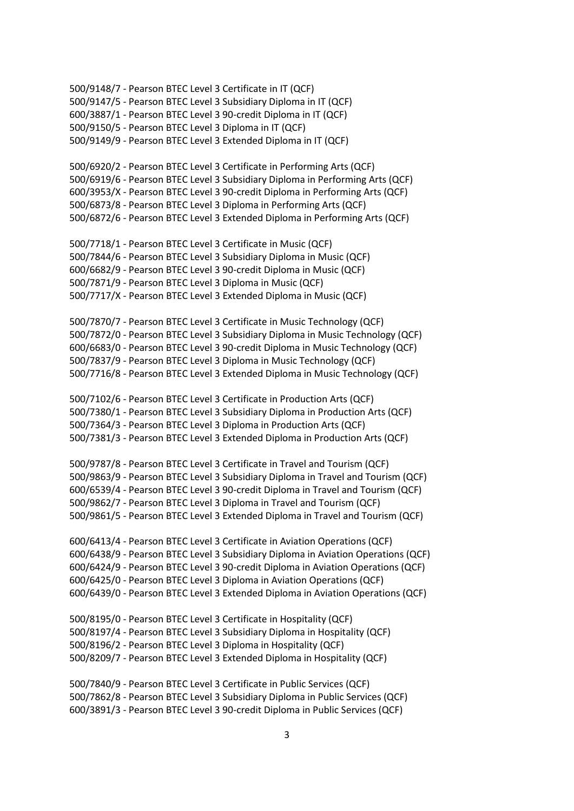500/9148/7 - Pearson BTEC Level 3 Certificate in IT (QCF) 500/9147/5 - Pearson BTEC Level 3 Subsidiary Diploma in IT (QCF) 600/3887/1 - Pearson BTEC Level 3 90-credit Diploma in IT (QCF) 500/9150/5 - Pearson BTEC Level 3 Diploma in IT (QCF) 500/9149/9 - Pearson BTEC Level 3 Extended Diploma in IT (QCF) 500/6920/2 - Pearson BTEC Level 3 Certificate in Performing Arts (QCF) 500/6919/6 - Pearson BTEC Level 3 Subsidiary Diploma in Performing Arts (QCF) 600/3953/X - Pearson BTEC Level 3 90-credit Diploma in Performing Arts (QCF) 500/6873/8 - Pearson BTEC Level 3 Diploma in Performing Arts (QCF) 500/6872/6 - Pearson BTEC Level 3 Extended Diploma in Performing Arts (QCF) 500/7718/1 - Pearson BTEC Level 3 Certificate in Music (QCF) 500/7844/6 - Pearson BTEC Level 3 Subsidiary Diploma in Music (QCF) 600/6682/9 - Pearson BTEC Level 3 90-credit Diploma in Music (QCF) 500/7871/9 - Pearson BTEC Level 3 Diploma in Music (QCF) 500/7717/X - Pearson BTEC Level 3 Extended Diploma in Music (QCF) 500/7870/7 - Pearson BTEC Level 3 Certificate in Music Technology (QCF) 500/7872/0 - Pearson BTEC Level 3 Subsidiary Diploma in Music Technology (QCF) 600/6683/0 - Pearson BTEC Level 3 90-credit Diploma in Music Technology (QCF) 500/7837/9 - Pearson BTEC Level 3 Diploma in Music Technology (QCF) 500/7716/8 - Pearson BTEC Level 3 Extended Diploma in Music Technology (QCF) 500/7102/6 - Pearson BTEC Level 3 Certificate in Production Arts (QCF) 500/7380/1 - Pearson BTEC Level 3 Subsidiary Diploma in Production Arts (QCF) 500/7364/3 - Pearson BTEC Level 3 Diploma in Production Arts (QCF) 500/7381/3 - Pearson BTEC Level 3 Extended Diploma in Production Arts (QCF) 500/9787/8 - Pearson BTEC Level 3 Certificate in Travel and Tourism (QCF) 500/9863/9 - Pearson BTEC Level 3 Subsidiary Diploma in Travel and Tourism (QCF) 600/6539/4 - Pearson BTEC Level 3 90-credit Diploma in Travel and Tourism (QCF) 500/9862/7 - Pearson BTEC Level 3 Diploma in Travel and Tourism (QCF) 500/9861/5 - Pearson BTEC Level 3 Extended Diploma in Travel and Tourism (QCF) 600/6413/4 - Pearson BTEC Level 3 Certificate in Aviation Operations (QCF) 600/6438/9 - Pearson BTEC Level 3 Subsidiary Diploma in Aviation Operations (QCF) 600/6424/9 - Pearson BTEC Level 3 90-credit Diploma in Aviation Operations (QCF) 600/6425/0 - Pearson BTEC Level 3 Diploma in Aviation Operations (QCF) 600/6439/0 - Pearson BTEC Level 3 Extended Diploma in Aviation Operations (QCF) 500/8195/0 - Pearson BTEC Level 3 Certificate in Hospitality (QCF) 500/8197/4 - Pearson BTEC Level 3 Subsidiary Diploma in Hospitality (QCF) 500/8196/2 - Pearson BTEC Level 3 Diploma in Hospitality (QCF) 500/8209/7 - Pearson BTEC Level 3 Extended Diploma in Hospitality (QCF) 500/7840/9 - Pearson BTEC Level 3 Certificate in Public Services (QCF) 500/7862/8 - Pearson BTEC Level 3 Subsidiary Diploma in Public Services (QCF) 600/3891/3 - Pearson BTEC Level 3 90-credit Diploma in Public Services (QCF)